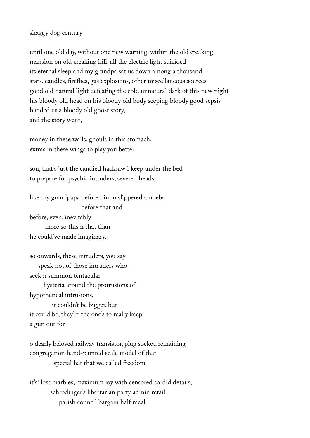## shaggy dog century

until one old day, without one new warning, within the old creaking mansion on old creaking hill, all the electric light suicided its eternal sleep and my grandpa sat us down among a thousand stars, candles, frefies, gas explosions, other miscellaneous sources good old natural light defeating the cold unnatural dark of this new night his bloody old head on his bloody old body seeping bloody good sepsis handed us a bloody old ghost story, and the story went,

money in these walls, ghouls in this stomach, extras in these wings to play you better

son, that's just the candied hacksaw i keep under the bed to prepare for psychic intruders, severed heads,

like my grandpapa before him n slippered amoeba before that and before, even, inevitably more so this n that than he could've made imaginary,

so onwards, these intruders, you say speak not of those intruders who seek n summon tentacular hysteria around the protrusions of hypothetical intrusions, it couldn't be bigger, but it could be, they're the one's to really keep a gun out for

o dearly beloved railway transistor, plug socket, remaining congregation hand-painted scale model of that special hat that we called freedom

it's! lost marbles, maximum joy with censored sordid details, schrodinger's libertarian party admin retail parish council bargain half meal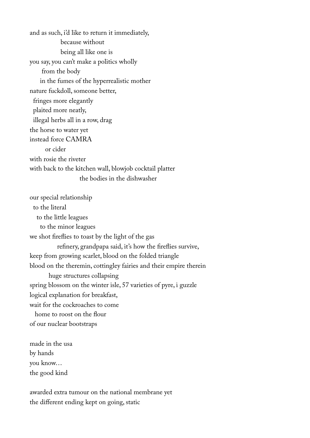and as such, i'd like to return it immediately, because without being all like one is you say, you can't make a politics wholly from the body in the fumes of the hyperrealistic mother nature fuckdoll, someone better, fringes more elegantly plaited more neatly, illegal herbs all in a row, drag the horse to water yet instead force CAMRA or cider with rosie the riveter with back to the kitchen wall, blowjob cocktail platter the bodies in the dishwasher

our special relationship to the literal to the little leagues to the minor leagues we shot frefies to toast by the light of the gas refnery, grandpapa said, it's how the frefies survive, keep from growing scarlet, blood on the folded triangle blood on the theremin, cottingley fairies and their empire therein huge structures collapsing spring blossom on the winter isle, 57 varieties of pyre, i guzzle logical explanation for breakfast, wait for the cockroaches to come home to roost on the flour of our nuclear bootstraps

made in the usa by hands you know… the good kind

awarded extra tumour on the national membrane yet the different ending kept on going, static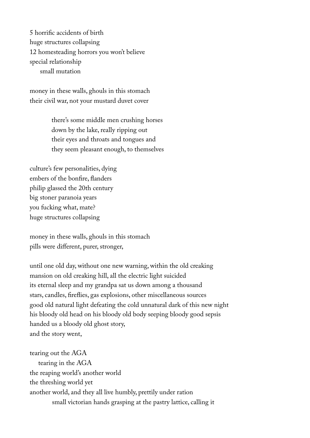5 horrifc accidents of birth huge structures collapsing 12 homesteading horrors you won't believe special relationship small mutation

money in these walls, ghouls in this stomach their civil war, not your mustard duvet cover

> there's some middle men crushing horses down by the lake, really ripping out their eyes and throats and tongues and they seem pleasant enough, to themselves

culture's few personalities, dying embers of the bonfre, fanders philip glassed the 20th century big stoner paranoia years you fucking what, mate? huge structures collapsing

money in these walls, ghouls in this stomach pills were different, purer, stronger,

until one old day, without one new warning, within the old creaking mansion on old creaking hill, all the electric light suicided its eternal sleep and my grandpa sat us down among a thousand stars, candles, frefies, gas explosions, other miscellaneous sources good old natural light defeating the cold unnatural dark of this new night his bloody old head on his bloody old body seeping bloody good sepsis handed us a bloody old ghost story, and the story went,

tearing out the AGA tearing in the AGA the reaping world's another world the threshing world yet another world, and they all live humbly, prettily under ration small victorian hands grasping at the pastry lattice, calling it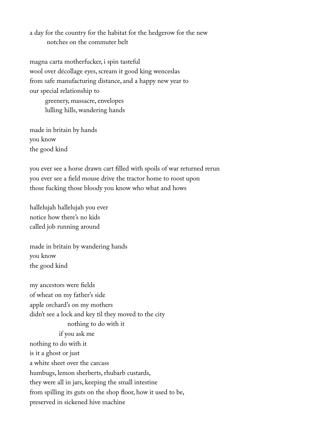a day for the country for the habitat for the hedgerow for the new notches on the commuter belt

magna carta motherfucker, i spin tasteful wool over décollage eyes, scream it good king wenceslas from safe manufacturing distance, and a happy new year to our special relationship to greenery, massacre, envelopes lulling hills, wandering hands

made in britain by hands you know the good kind

you ever see a horse drawn cart flled with spoils of war returned rerun you ever see a feld mouse drive the tractor home to roost upon those fucking those bloody you know who what and hows

hallelujah hallelujah you ever notice how there's no kids called job running around

made in britain by wandering hands you know the good kind

my ancestors were felds of wheat on my father's side apple orchard's on my mothers didn't see a lock and key til they moved to the city nothing to do with it if you ask me nothing to do with it is it a ghost or just a white sheet over the carcass humbugs, lemon sherberts, rhubarb custards, they were all in jars, keeping the small intestine from spilling its guts on the shop floor, how it used to be, preserved in sickened hive machine